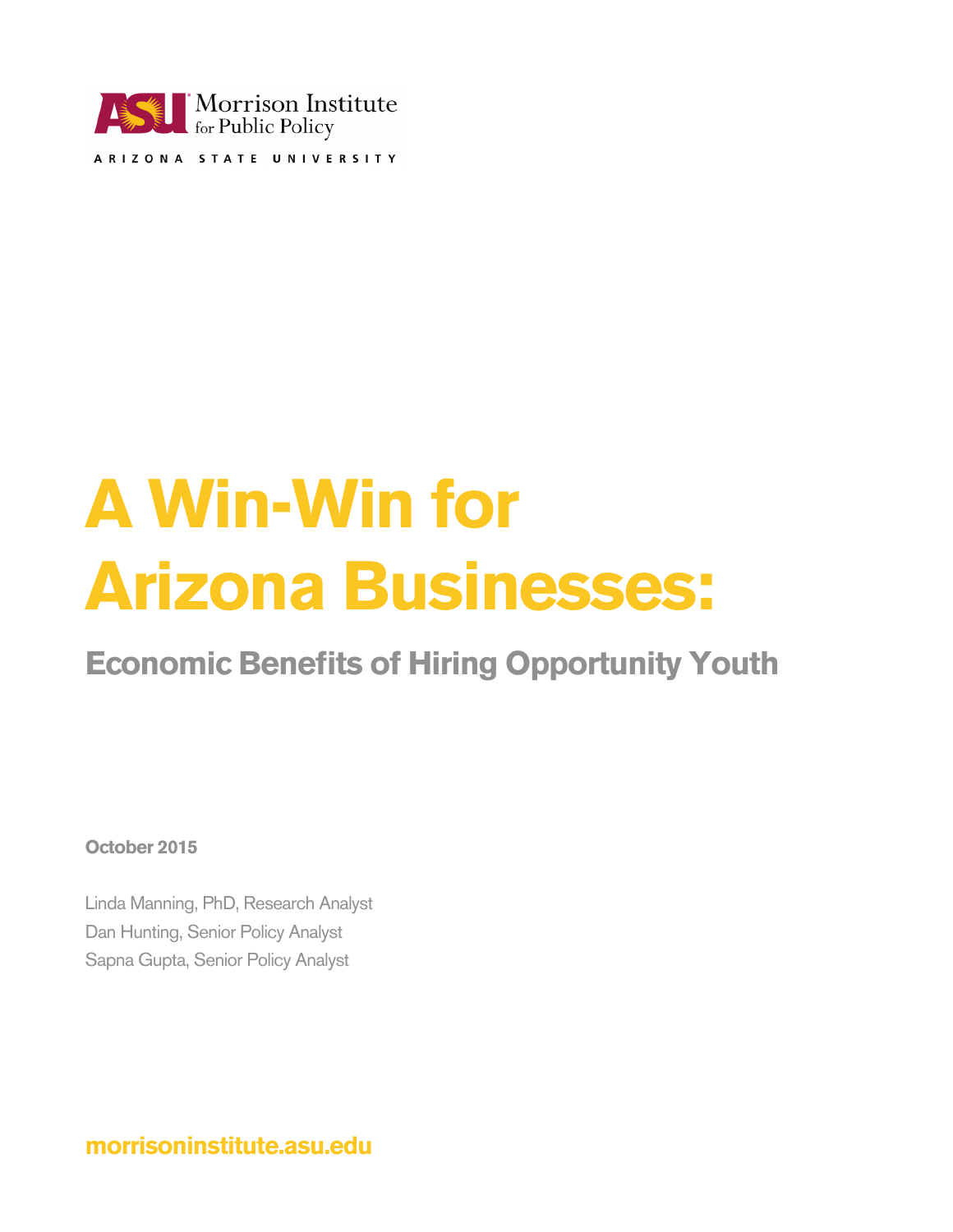

# **A Win-Win for Arizona Businesses:**

**Economic Benefits of Hiring Opportunity Youth**

**October 2015**

Linda Manning, PhD, Research Analyst Dan Hunting, Senior Policy Analyst Sapna Gupta, Senior Policy Analyst

**morrisoninstitute.asu.edu**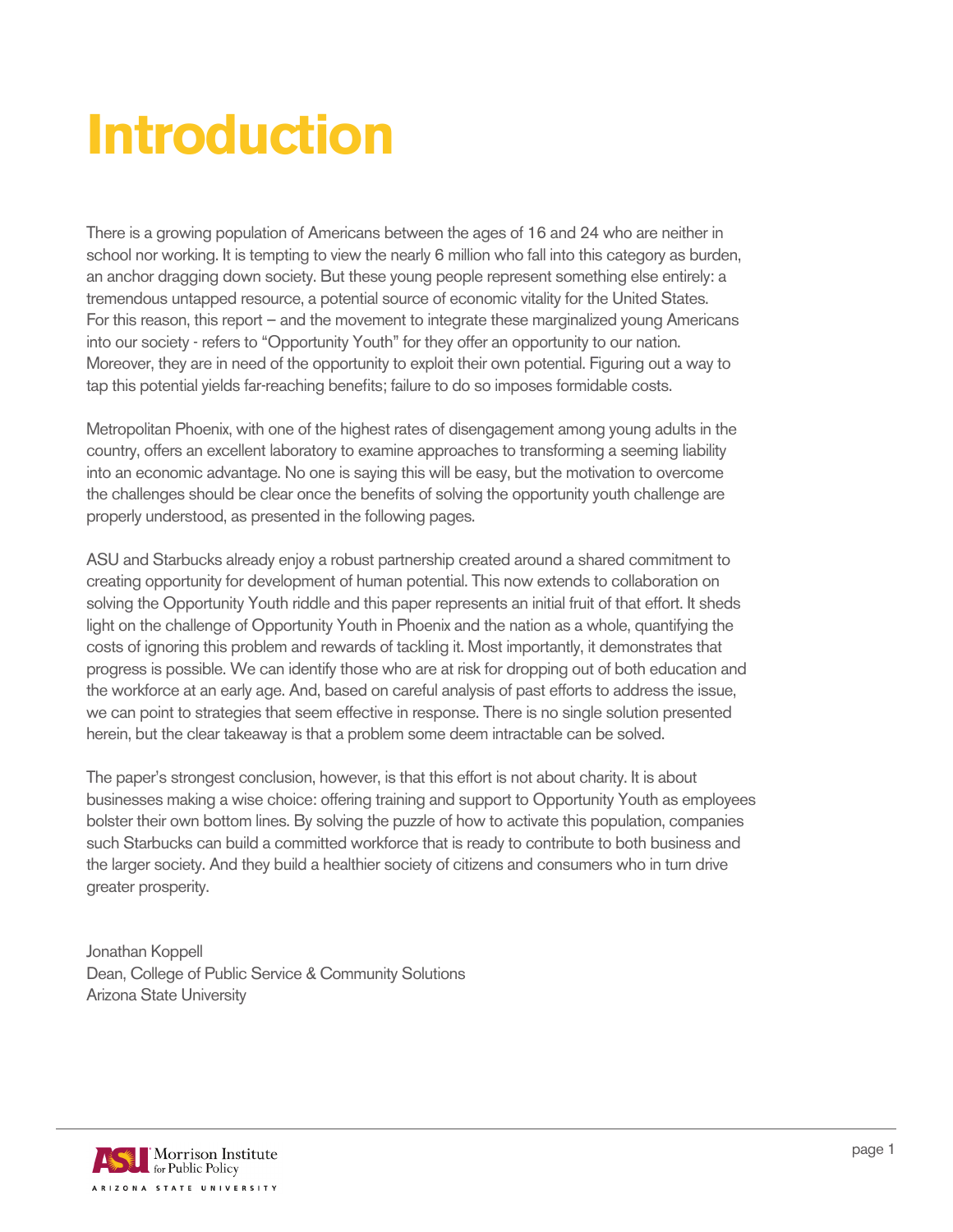## **Introduction**

There is a growing population of Americans between the ages of 16 and 24 who are neither in school nor working. It is tempting to view the nearly 6 million who fall into this category as burden, an anchor dragging down society. But these young people represent something else entirely: a tremendous untapped resource, a potential source of economic vitality for the United States. For this reason, this report – and the movement to integrate these marginalized young Americans into our society - refers to "Opportunity Youth" for they offer an opportunity to our nation. Moreover, they are in need of the opportunity to exploit their own potential. Figuring out a way to tap this potential yields far-reaching benefits; failure to do so imposes formidable costs.

Metropolitan Phoenix, with one of the highest rates of disengagement among young adults in the country, offers an excellent laboratory to examine approaches to transforming a seeming liability into an economic advantage. No one is saying this will be easy, but the motivation to overcome the challenges should be clear once the benefits of solving the opportunity youth challenge are properly understood, as presented in the following pages.

ASU and Starbucks already enjoy a robust partnership created around a shared commitment to creating opportunity for development of human potential. This now extends to collaboration on solving the Opportunity Youth riddle and this paper represents an initial fruit of that effort. It sheds light on the challenge of Opportunity Youth in Phoenix and the nation as a whole, quantifying the costs of ignoring this problem and rewards of tackling it. Most importantly, it demonstrates that progress is possible. We can identify those who are at risk for dropping out of both education and the workforce at an early age. And, based on careful analysis of past efforts to address the issue, we can point to strategies that seem effective in response. There is no single solution presented herein, but the clear takeaway is that a problem some deem intractable can be solved.

The paper's strongest conclusion, however, is that this effort is not about charity. It is about businesses making a wise choice: offering training and support to Opportunity Youth as employees bolster their own bottom lines. By solving the puzzle of how to activate this population, companies such Starbucks can build a committed workforce that is ready to contribute to both business and the larger society. And they build a healthier society of citizens and consumers who in turn drive greater prosperity.

Jonathan Koppell Dean, College of Public Service & Community Solutions Arizona State University

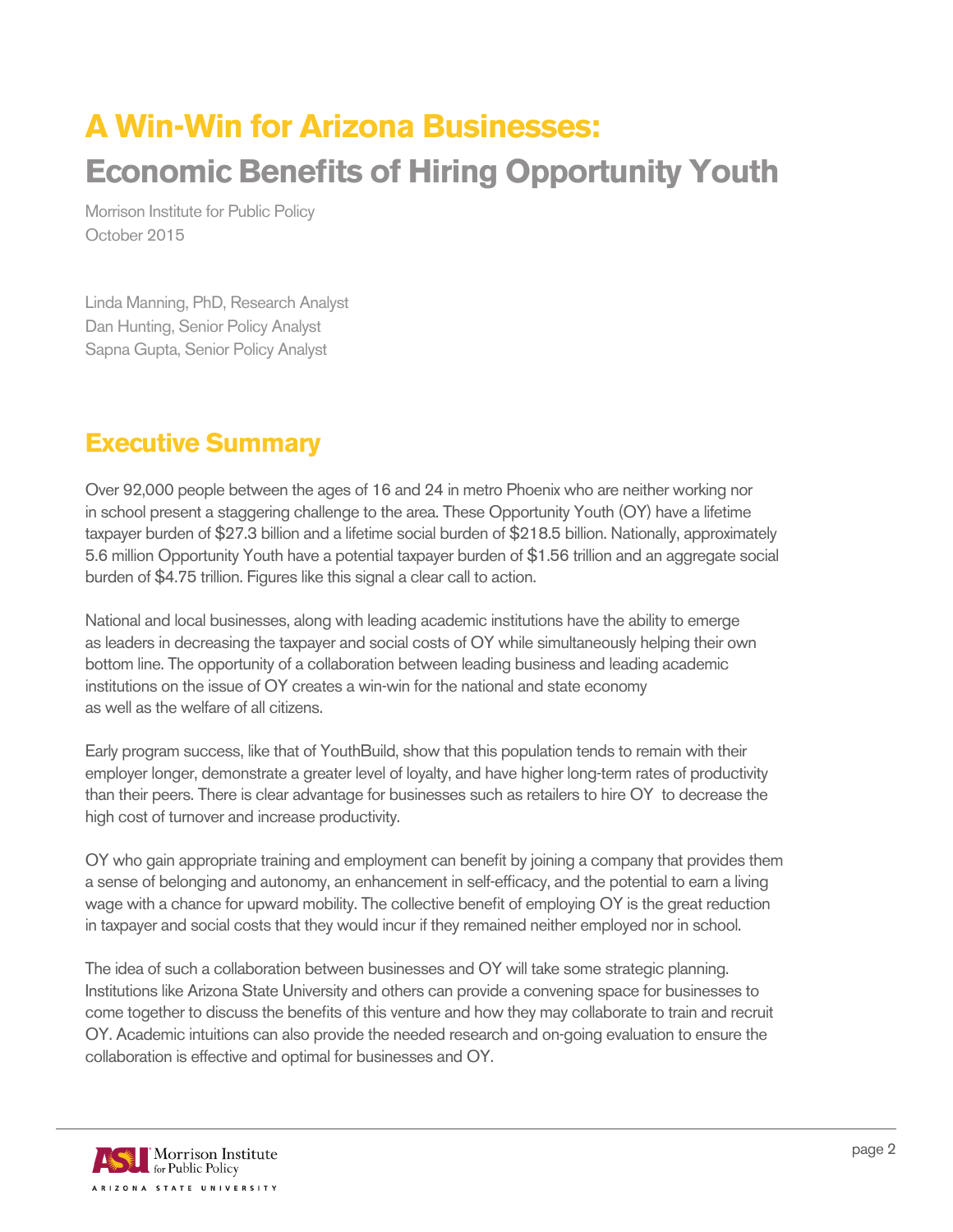### **A Win-Win for Arizona Businesses: Economic Benefits of Hiring Opportunity Youth**

Morrison Institute for Public Policy October 2015

Linda Manning, PhD, Research Analyst Dan Hunting, Senior Policy Analyst Sapna Gupta, Senior Policy Analyst

#### **Executive Summary**

Over 92,000 people between the ages of 16 and 24 in metro Phoenix who are neither working nor in school present a staggering challenge to the area. These Opportunity Youth (OY) have a lifetime taxpayer burden of \$27.3 billion and a lifetime social burden of \$218.5 billion. Nationally, approximately 5.6 million Opportunity Youth have a potential taxpayer burden of \$1.56 trillion and an aggregate social burden of \$4.75 trillion. Figures like this signal a clear call to action.

National and local businesses, along with leading academic institutions have the ability to emerge as leaders in decreasing the taxpayer and social costs of OY while simultaneously helping their own bottom line. The opportunity of a collaboration between leading business and leading academic institutions on the issue of OY creates a win-win for the national and state economy as well as the welfare of all citizens.

Early program success, like that of YouthBuild, show that this population tends to remain with their employer longer, demonstrate a greater level of loyalty, and have higher long-term rates of productivity than their peers. There is clear advantage for businesses such as retailers to hire OY to decrease the high cost of turnover and increase productivity.

OY who gain appropriate training and employment can benefit by joining a company that provides them a sense of belonging and autonomy, an enhancement in self-efficacy, and the potential to earn a living wage with a chance for upward mobility. The collective benefit of employing OY is the great reduction in taxpayer and social costs that they would incur if they remained neither employed nor in school.

The idea of such a collaboration between businesses and OY will take some strategic planning. Institutions like Arizona State University and others can provide a convening space for businesses to come together to discuss the benefits of this venture and how they may collaborate to train and recruit OY. Academic intuitions can also provide the needed research and on-going evaluation to ensure the collaboration is effective and optimal for businesses and OY.

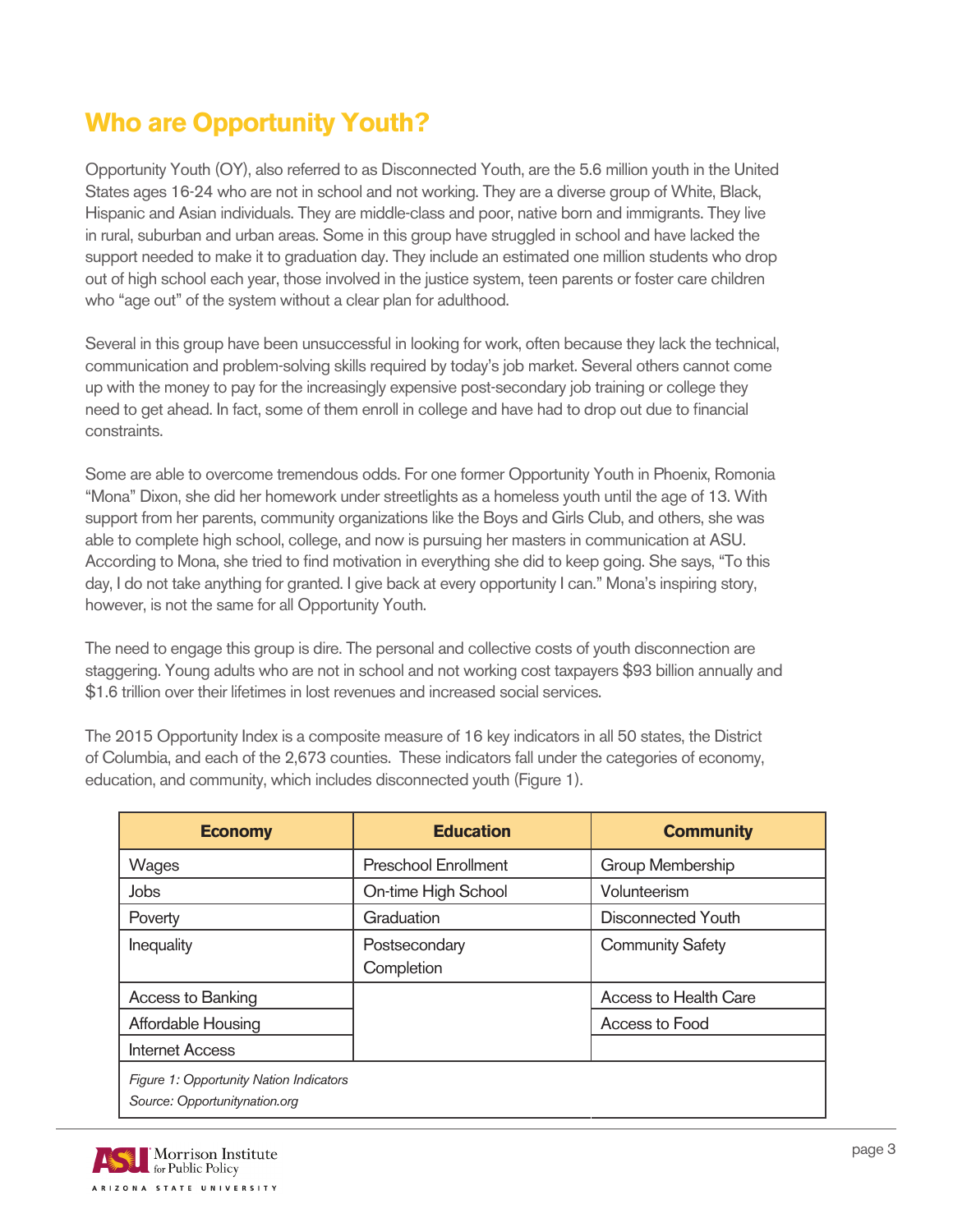#### **Who are Opportunity Youth?**

Opportunity Youth (OY), also referred to as Disconnected Youth, are the 5.6 million youth in the United States ages 16-24 who are not in school and not working. They are a diverse group of White, Black, Hispanic and Asian individuals. They are middle-class and poor, native born and immigrants. They live in rural, suburban and urban areas. Some in this group have struggled in school and have lacked the support needed to make it to graduation day. They include an estimated one million students who drop out of high school each year, those involved in the justice system, teen parents or foster care children who "age out" of the system without a clear plan for adulthood.

Several in this group have been unsuccessful in looking for work, often because they lack the technical, communication and problem-solving skills required by today's job market. Several others cannot come up with the money to pay for the increasingly expensive post-secondary job training or college they need to get ahead. In fact, some of them enroll in college and have had to drop out due to financial constraints.

Some are able to overcome tremendous odds. For one former Opportunity Youth in Phoenix, Romonia "Mona" Dixon, she did her homework under streetlights as a homeless youth until the age of 13. With support from her parents, community organizations like the Boys and Girls Club, and others, she was able to complete high school, college, and now is pursuing her masters in communication at ASU. According to Mona, she tried to find motivation in everything she did to keep going. She says, "To this day, I do not take anything for granted. I give back at every opportunity I can." Mona's inspiring story, however, is not the same for all Opportunity Youth.

The need to engage this group is dire. The personal and collective costs of youth disconnection are staggering. Young adults who are not in school and not working cost taxpayers \$93 billion annually and \$1.6 trillion over their lifetimes in lost revenues and increased social services.

The 2015 Opportunity Index is a composite measure of 16 key indicators in all 50 states, the District of Columbia, and each of the 2,673 counties. These indicators fall under the categories of economy, education, and community, which includes disconnected youth (Figure 1).

| <b>Economy</b>                                                           | <b>Education</b>            | <b>Community</b>        |
|--------------------------------------------------------------------------|-----------------------------|-------------------------|
| Wages                                                                    | <b>Preschool Enrollment</b> | Group Membership        |
| Jobs                                                                     | On-time High School         | Volunteerism            |
| Poverty                                                                  | Graduation                  | Disconnected Youth      |
| Inequality                                                               | Postsecondary<br>Completion | <b>Community Safety</b> |
| Access to Banking                                                        |                             | Access to Health Care   |
| Affordable Housing                                                       |                             | Access to Food          |
| <b>Internet Access</b>                                                   |                             |                         |
| Figure 1: Opportunity Nation Indicators<br>Source: Opportunitynation.org |                             |                         |

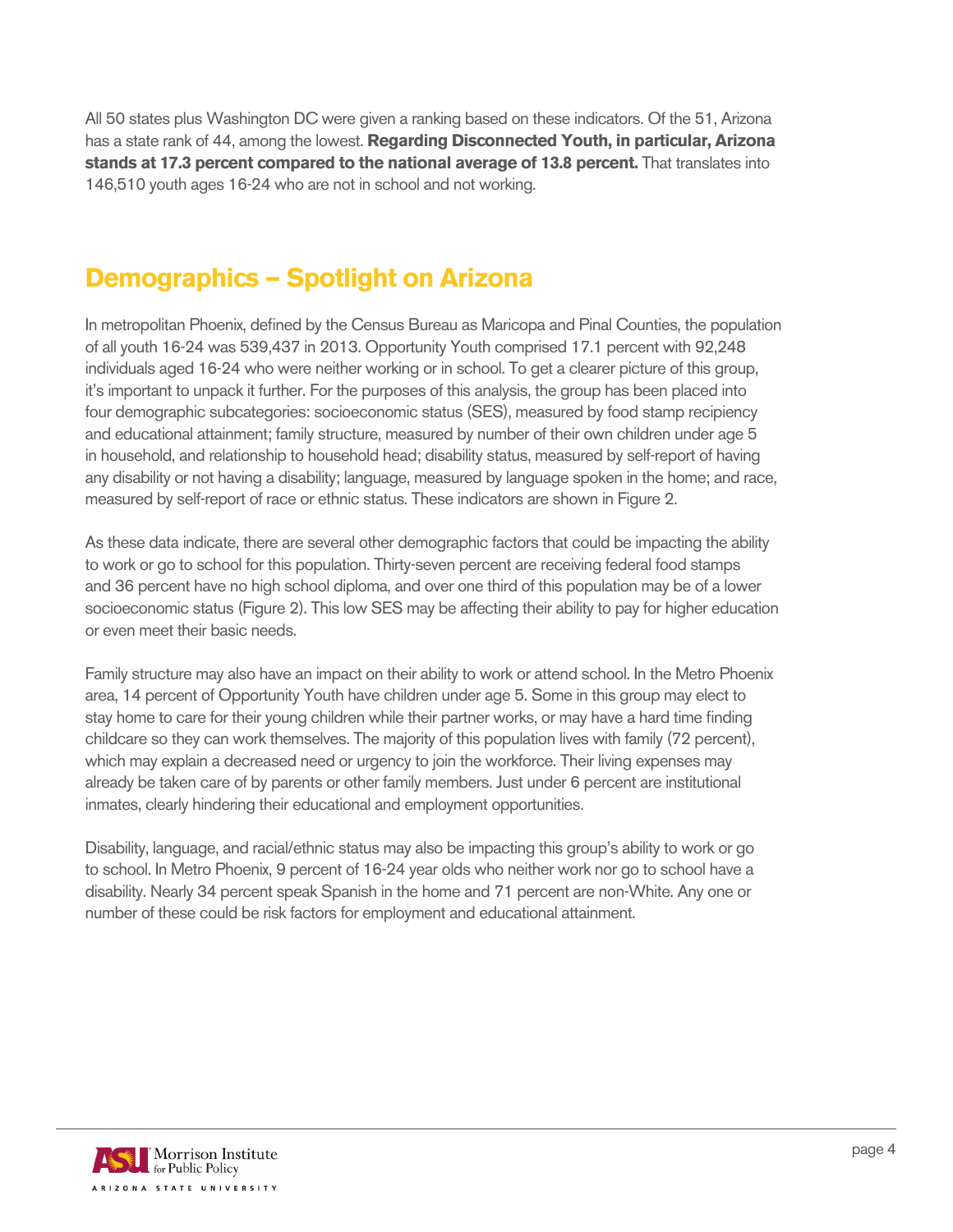All 50 states plus Washington DC were given a ranking based on these indicators. Of the 51, Arizona has a state rank of 44, among the lowest. **Regarding Disconnected Youth, in particular, Arizona stands at 17.3 percent compared to the national average of 13.8 percent.** That translates into 146,510 youth ages 16-24 who are not in school and not working.

#### **Demographics — Spotlight on Arizona**

In metropolitan Phoenix, defined by the Census Bureau as Maricopa and Pinal Counties, the population of all youth 16-24 was 539,437 in 2013. Opportunity Youth comprised 17.1 percent with 92,248 individuals aged 16-24 who were neither working or in school. To get a clearer picture of this group, it's important to unpack it further. For the purposes of this analysis, the group has been placed into four demographic subcategories: socioeconomic status (SES), measured by food stamp recipiency and educational attainment; family structure, measured by number of their own children under age 5 in household, and relationship to household head; disability status, measured by self-report of having any disability or not having a disability; language, measured by language spoken in the home; and race, measured by self-report of race or ethnic status. These indicators are shown in Figure 2.

As these data indicate, there are several other demographic factors that could be impacting the ability to work or go to school for this population. Thirty-seven percent are receiving federal food stamps and 36 percent have no high school diploma, and over one third of this population may be of a lower socioeconomic status (Figure 2). This low SES may be affecting their ability to pay for higher education or even meet their basic needs.

Family structure may also have an impact on their ability to work or attend school. In the Metro Phoenix area, 14 percent of Opportunity Youth have children under age 5. Some in this group may elect to stay home to care for their young children while their partner works, or may have a hard time finding childcare so they can work themselves. The majority of this population lives with family (72 percent), which may explain a decreased need or urgency to join the workforce. Their living expenses may already be taken care of by parents or other family members. Just under 6 percent are institutional inmates, clearly hindering their educational and employment opportunities.

Disability, language, and racial/ethnic status may also be impacting this group's ability to work or go to school. In Metro Phoenix, 9 percent of 16-24 year olds who neither work nor go to school have a disability. Nearly 34 percent speak Spanish in the home and 71 percent are non-White. Any one or number of these could be risk factors for employment and educational attainment.

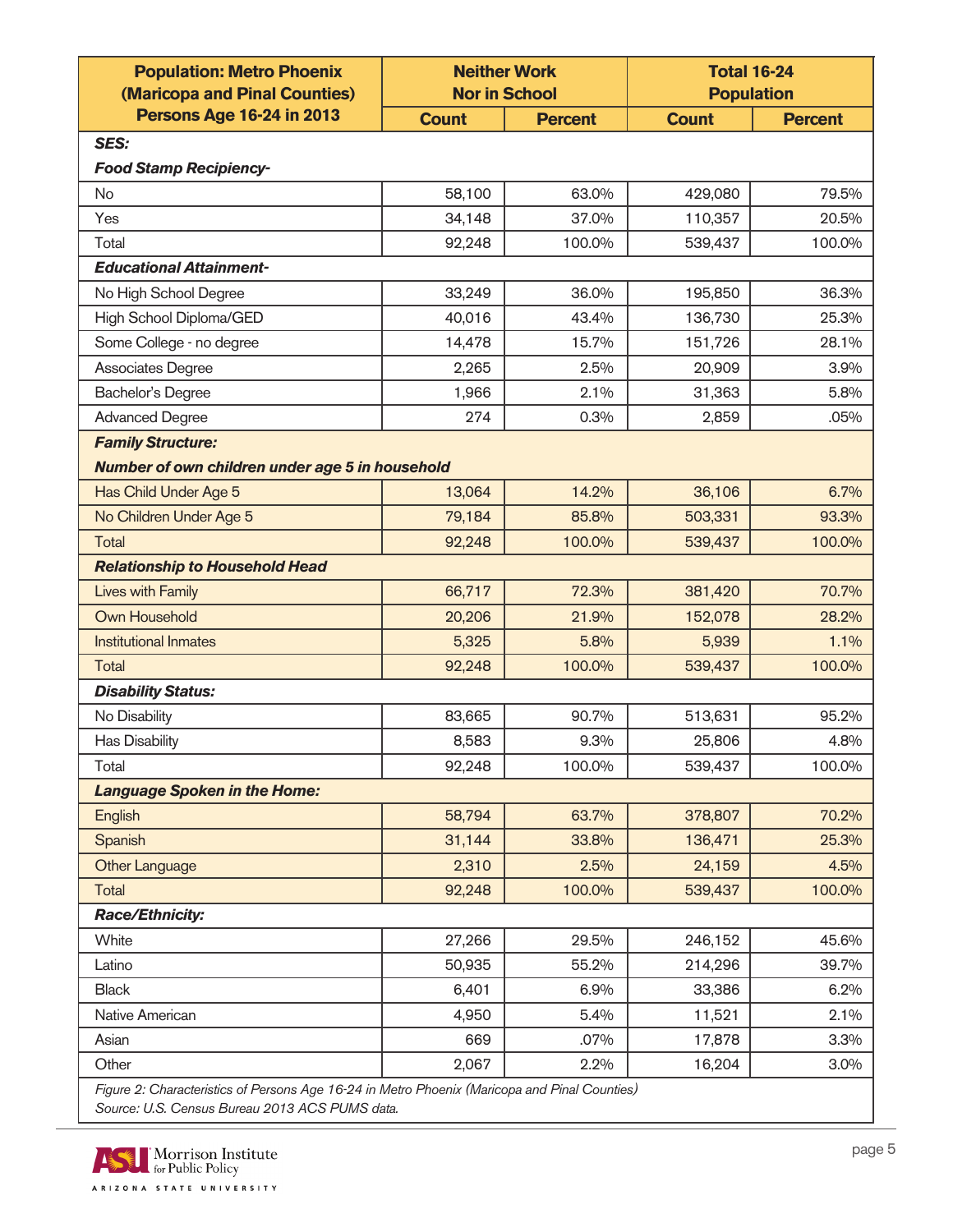| <b>Persons Age 16-24 in 2013</b><br><b>Count</b><br><b>Count</b><br><b>Percent</b><br><b>Percent</b><br>SES:<br><b>Food Stamp Recipiency-</b><br>58,100<br>63.0%<br>429,080<br>79.5%<br><b>No</b><br>34,148<br>37.0%<br>Yes<br>110,357<br>20.5%<br>92,248<br>100.0%<br>539,437<br>Total<br>100.0%<br><b>Educational Attainment-</b><br>33,249<br>36.0%<br>36.3%<br>No High School Degree<br>195,850<br>High School Diploma/GED<br>40,016<br>43.4%<br>136,730<br>25.3%<br>Some College - no degree<br>14,478<br>15.7%<br>151,726<br>28.1%<br>Associates Degree<br>2.5%<br>3.9%<br>2,265<br>20,909<br><b>Bachelor's Degree</b><br>2.1%<br>5.8%<br>1,966<br>31,363<br><b>Advanced Degree</b><br>274<br>0.3%<br>2,859<br>.05%<br><b>Family Structure:</b><br>Number of own children under age 5 in household<br>Has Child Under Age 5<br>14.2%<br>6.7%<br>13,064<br>36,106<br>No Children Under Age 5<br>79,184<br>85.8%<br>93.3%<br>503,331<br>92,248<br>100.0%<br>Total<br>539,437<br>100.0%<br><b>Relationship to Household Head</b><br><b>Lives with Family</b><br>66,717<br>72.3%<br>70.7%<br>381,420<br>Own Household<br>21.9%<br>20,206<br>152,078<br>28.2%<br><b>Institutional Inmates</b><br>5,325<br>5.8%<br>1.1%<br>5,939<br>92,248<br>100.0%<br>539,437<br>100.0%<br>Total<br><b>Disability Status:</b><br>83,665<br>90.7%<br>No Disability<br>513,631<br>95.2%<br><b>Has Disability</b><br>8,583<br>25,806<br>4.8%<br>9.3%<br>100.0%<br>Total<br>92,248<br>100.0%<br>539,437<br><b>Language Spoken in the Home:</b><br>58,794<br>63.7%<br>70.2%<br>English<br>378,807<br>31,144<br>Spanish<br>33.8%<br>136,471<br>25.3%<br>2,310<br>2.5%<br><b>Other Language</b><br>24,159<br>4.5%<br>92,248<br>100.0%<br>100.0%<br>Total<br>539,437<br><b>Race/Ethnicity:</b><br>27,266<br>246,152<br>White<br>29.5%<br>45.6%<br>Latino<br>50,935<br>55.2%<br>214,296<br>39.7%<br>6,401<br><b>Black</b><br>6.9%<br>33,386<br>6.2%<br>Native American<br>4,950<br>5.4%<br>11,521<br>2.1%<br>3.3%<br>Asian<br>669<br>.07%<br>17,878<br>2,067<br>16,204<br>3.0%<br>Other<br>2.2% | <b>Population: Metro Phoenix</b><br>(Maricopa and Pinal Counties) | <b>Neither Work</b><br><b>Nor in School</b> |  | <b>Total 16-24</b><br><b>Population</b> |  |  |  |
|--------------------------------------------------------------------------------------------------------------------------------------------------------------------------------------------------------------------------------------------------------------------------------------------------------------------------------------------------------------------------------------------------------------------------------------------------------------------------------------------------------------------------------------------------------------------------------------------------------------------------------------------------------------------------------------------------------------------------------------------------------------------------------------------------------------------------------------------------------------------------------------------------------------------------------------------------------------------------------------------------------------------------------------------------------------------------------------------------------------------------------------------------------------------------------------------------------------------------------------------------------------------------------------------------------------------------------------------------------------------------------------------------------------------------------------------------------------------------------------------------------------------------------------------------------------------------------------------------------------------------------------------------------------------------------------------------------------------------------------------------------------------------------------------------------------------------------------------------------------------------------------------------------------------------------------------------------------------------------------------------------------------------------------------------------------------------|-------------------------------------------------------------------|---------------------------------------------|--|-----------------------------------------|--|--|--|
|                                                                                                                                                                                                                                                                                                                                                                                                                                                                                                                                                                                                                                                                                                                                                                                                                                                                                                                                                                                                                                                                                                                                                                                                                                                                                                                                                                                                                                                                                                                                                                                                                                                                                                                                                                                                                                                                                                                                                                                                                                                                          |                                                                   |                                             |  |                                         |  |  |  |
|                                                                                                                                                                                                                                                                                                                                                                                                                                                                                                                                                                                                                                                                                                                                                                                                                                                                                                                                                                                                                                                                                                                                                                                                                                                                                                                                                                                                                                                                                                                                                                                                                                                                                                                                                                                                                                                                                                                                                                                                                                                                          |                                                                   |                                             |  |                                         |  |  |  |
|                                                                                                                                                                                                                                                                                                                                                                                                                                                                                                                                                                                                                                                                                                                                                                                                                                                                                                                                                                                                                                                                                                                                                                                                                                                                                                                                                                                                                                                                                                                                                                                                                                                                                                                                                                                                                                                                                                                                                                                                                                                                          |                                                                   |                                             |  |                                         |  |  |  |
|                                                                                                                                                                                                                                                                                                                                                                                                                                                                                                                                                                                                                                                                                                                                                                                                                                                                                                                                                                                                                                                                                                                                                                                                                                                                                                                                                                                                                                                                                                                                                                                                                                                                                                                                                                                                                                                                                                                                                                                                                                                                          |                                                                   |                                             |  |                                         |  |  |  |
|                                                                                                                                                                                                                                                                                                                                                                                                                                                                                                                                                                                                                                                                                                                                                                                                                                                                                                                                                                                                                                                                                                                                                                                                                                                                                                                                                                                                                                                                                                                                                                                                                                                                                                                                                                                                                                                                                                                                                                                                                                                                          |                                                                   |                                             |  |                                         |  |  |  |
|                                                                                                                                                                                                                                                                                                                                                                                                                                                                                                                                                                                                                                                                                                                                                                                                                                                                                                                                                                                                                                                                                                                                                                                                                                                                                                                                                                                                                                                                                                                                                                                                                                                                                                                                                                                                                                                                                                                                                                                                                                                                          |                                                                   |                                             |  |                                         |  |  |  |
|                                                                                                                                                                                                                                                                                                                                                                                                                                                                                                                                                                                                                                                                                                                                                                                                                                                                                                                                                                                                                                                                                                                                                                                                                                                                                                                                                                                                                                                                                                                                                                                                                                                                                                                                                                                                                                                                                                                                                                                                                                                                          |                                                                   |                                             |  |                                         |  |  |  |
|                                                                                                                                                                                                                                                                                                                                                                                                                                                                                                                                                                                                                                                                                                                                                                                                                                                                                                                                                                                                                                                                                                                                                                                                                                                                                                                                                                                                                                                                                                                                                                                                                                                                                                                                                                                                                                                                                                                                                                                                                                                                          |                                                                   |                                             |  |                                         |  |  |  |
|                                                                                                                                                                                                                                                                                                                                                                                                                                                                                                                                                                                                                                                                                                                                                                                                                                                                                                                                                                                                                                                                                                                                                                                                                                                                                                                                                                                                                                                                                                                                                                                                                                                                                                                                                                                                                                                                                                                                                                                                                                                                          |                                                                   |                                             |  |                                         |  |  |  |
|                                                                                                                                                                                                                                                                                                                                                                                                                                                                                                                                                                                                                                                                                                                                                                                                                                                                                                                                                                                                                                                                                                                                                                                                                                                                                                                                                                                                                                                                                                                                                                                                                                                                                                                                                                                                                                                                                                                                                                                                                                                                          |                                                                   |                                             |  |                                         |  |  |  |
|                                                                                                                                                                                                                                                                                                                                                                                                                                                                                                                                                                                                                                                                                                                                                                                                                                                                                                                                                                                                                                                                                                                                                                                                                                                                                                                                                                                                                                                                                                                                                                                                                                                                                                                                                                                                                                                                                                                                                                                                                                                                          |                                                                   |                                             |  |                                         |  |  |  |
|                                                                                                                                                                                                                                                                                                                                                                                                                                                                                                                                                                                                                                                                                                                                                                                                                                                                                                                                                                                                                                                                                                                                                                                                                                                                                                                                                                                                                                                                                                                                                                                                                                                                                                                                                                                                                                                                                                                                                                                                                                                                          |                                                                   |                                             |  |                                         |  |  |  |
|                                                                                                                                                                                                                                                                                                                                                                                                                                                                                                                                                                                                                                                                                                                                                                                                                                                                                                                                                                                                                                                                                                                                                                                                                                                                                                                                                                                                                                                                                                                                                                                                                                                                                                                                                                                                                                                                                                                                                                                                                                                                          |                                                                   |                                             |  |                                         |  |  |  |
|                                                                                                                                                                                                                                                                                                                                                                                                                                                                                                                                                                                                                                                                                                                                                                                                                                                                                                                                                                                                                                                                                                                                                                                                                                                                                                                                                                                                                                                                                                                                                                                                                                                                                                                                                                                                                                                                                                                                                                                                                                                                          |                                                                   |                                             |  |                                         |  |  |  |
|                                                                                                                                                                                                                                                                                                                                                                                                                                                                                                                                                                                                                                                                                                                                                                                                                                                                                                                                                                                                                                                                                                                                                                                                                                                                                                                                                                                                                                                                                                                                                                                                                                                                                                                                                                                                                                                                                                                                                                                                                                                                          |                                                                   |                                             |  |                                         |  |  |  |
|                                                                                                                                                                                                                                                                                                                                                                                                                                                                                                                                                                                                                                                                                                                                                                                                                                                                                                                                                                                                                                                                                                                                                                                                                                                                                                                                                                                                                                                                                                                                                                                                                                                                                                                                                                                                                                                                                                                                                                                                                                                                          |                                                                   |                                             |  |                                         |  |  |  |
|                                                                                                                                                                                                                                                                                                                                                                                                                                                                                                                                                                                                                                                                                                                                                                                                                                                                                                                                                                                                                                                                                                                                                                                                                                                                                                                                                                                                                                                                                                                                                                                                                                                                                                                                                                                                                                                                                                                                                                                                                                                                          |                                                                   |                                             |  |                                         |  |  |  |
|                                                                                                                                                                                                                                                                                                                                                                                                                                                                                                                                                                                                                                                                                                                                                                                                                                                                                                                                                                                                                                                                                                                                                                                                                                                                                                                                                                                                                                                                                                                                                                                                                                                                                                                                                                                                                                                                                                                                                                                                                                                                          |                                                                   |                                             |  |                                         |  |  |  |
|                                                                                                                                                                                                                                                                                                                                                                                                                                                                                                                                                                                                                                                                                                                                                                                                                                                                                                                                                                                                                                                                                                                                                                                                                                                                                                                                                                                                                                                                                                                                                                                                                                                                                                                                                                                                                                                                                                                                                                                                                                                                          |                                                                   |                                             |  |                                         |  |  |  |
|                                                                                                                                                                                                                                                                                                                                                                                                                                                                                                                                                                                                                                                                                                                                                                                                                                                                                                                                                                                                                                                                                                                                                                                                                                                                                                                                                                                                                                                                                                                                                                                                                                                                                                                                                                                                                                                                                                                                                                                                                                                                          |                                                                   |                                             |  |                                         |  |  |  |
|                                                                                                                                                                                                                                                                                                                                                                                                                                                                                                                                                                                                                                                                                                                                                                                                                                                                                                                                                                                                                                                                                                                                                                                                                                                                                                                                                                                                                                                                                                                                                                                                                                                                                                                                                                                                                                                                                                                                                                                                                                                                          |                                                                   |                                             |  |                                         |  |  |  |
|                                                                                                                                                                                                                                                                                                                                                                                                                                                                                                                                                                                                                                                                                                                                                                                                                                                                                                                                                                                                                                                                                                                                                                                                                                                                                                                                                                                                                                                                                                                                                                                                                                                                                                                                                                                                                                                                                                                                                                                                                                                                          |                                                                   |                                             |  |                                         |  |  |  |
|                                                                                                                                                                                                                                                                                                                                                                                                                                                                                                                                                                                                                                                                                                                                                                                                                                                                                                                                                                                                                                                                                                                                                                                                                                                                                                                                                                                                                                                                                                                                                                                                                                                                                                                                                                                                                                                                                                                                                                                                                                                                          |                                                                   |                                             |  |                                         |  |  |  |
|                                                                                                                                                                                                                                                                                                                                                                                                                                                                                                                                                                                                                                                                                                                                                                                                                                                                                                                                                                                                                                                                                                                                                                                                                                                                                                                                                                                                                                                                                                                                                                                                                                                                                                                                                                                                                                                                                                                                                                                                                                                                          |                                                                   |                                             |  |                                         |  |  |  |
|                                                                                                                                                                                                                                                                                                                                                                                                                                                                                                                                                                                                                                                                                                                                                                                                                                                                                                                                                                                                                                                                                                                                                                                                                                                                                                                                                                                                                                                                                                                                                                                                                                                                                                                                                                                                                                                                                                                                                                                                                                                                          |                                                                   |                                             |  |                                         |  |  |  |
|                                                                                                                                                                                                                                                                                                                                                                                                                                                                                                                                                                                                                                                                                                                                                                                                                                                                                                                                                                                                                                                                                                                                                                                                                                                                                                                                                                                                                                                                                                                                                                                                                                                                                                                                                                                                                                                                                                                                                                                                                                                                          |                                                                   |                                             |  |                                         |  |  |  |
|                                                                                                                                                                                                                                                                                                                                                                                                                                                                                                                                                                                                                                                                                                                                                                                                                                                                                                                                                                                                                                                                                                                                                                                                                                                                                                                                                                                                                                                                                                                                                                                                                                                                                                                                                                                                                                                                                                                                                                                                                                                                          |                                                                   |                                             |  |                                         |  |  |  |
|                                                                                                                                                                                                                                                                                                                                                                                                                                                                                                                                                                                                                                                                                                                                                                                                                                                                                                                                                                                                                                                                                                                                                                                                                                                                                                                                                                                                                                                                                                                                                                                                                                                                                                                                                                                                                                                                                                                                                                                                                                                                          |                                                                   |                                             |  |                                         |  |  |  |
|                                                                                                                                                                                                                                                                                                                                                                                                                                                                                                                                                                                                                                                                                                                                                                                                                                                                                                                                                                                                                                                                                                                                                                                                                                                                                                                                                                                                                                                                                                                                                                                                                                                                                                                                                                                                                                                                                                                                                                                                                                                                          |                                                                   |                                             |  |                                         |  |  |  |
|                                                                                                                                                                                                                                                                                                                                                                                                                                                                                                                                                                                                                                                                                                                                                                                                                                                                                                                                                                                                                                                                                                                                                                                                                                                                                                                                                                                                                                                                                                                                                                                                                                                                                                                                                                                                                                                                                                                                                                                                                                                                          |                                                                   |                                             |  |                                         |  |  |  |
|                                                                                                                                                                                                                                                                                                                                                                                                                                                                                                                                                                                                                                                                                                                                                                                                                                                                                                                                                                                                                                                                                                                                                                                                                                                                                                                                                                                                                                                                                                                                                                                                                                                                                                                                                                                                                                                                                                                                                                                                                                                                          |                                                                   |                                             |  |                                         |  |  |  |
|                                                                                                                                                                                                                                                                                                                                                                                                                                                                                                                                                                                                                                                                                                                                                                                                                                                                                                                                                                                                                                                                                                                                                                                                                                                                                                                                                                                                                                                                                                                                                                                                                                                                                                                                                                                                                                                                                                                                                                                                                                                                          |                                                                   |                                             |  |                                         |  |  |  |
|                                                                                                                                                                                                                                                                                                                                                                                                                                                                                                                                                                                                                                                                                                                                                                                                                                                                                                                                                                                                                                                                                                                                                                                                                                                                                                                                                                                                                                                                                                                                                                                                                                                                                                                                                                                                                                                                                                                                                                                                                                                                          |                                                                   |                                             |  |                                         |  |  |  |
|                                                                                                                                                                                                                                                                                                                                                                                                                                                                                                                                                                                                                                                                                                                                                                                                                                                                                                                                                                                                                                                                                                                                                                                                                                                                                                                                                                                                                                                                                                                                                                                                                                                                                                                                                                                                                                                                                                                                                                                                                                                                          |                                                                   |                                             |  |                                         |  |  |  |
|                                                                                                                                                                                                                                                                                                                                                                                                                                                                                                                                                                                                                                                                                                                                                                                                                                                                                                                                                                                                                                                                                                                                                                                                                                                                                                                                                                                                                                                                                                                                                                                                                                                                                                                                                                                                                                                                                                                                                                                                                                                                          |                                                                   |                                             |  |                                         |  |  |  |
|                                                                                                                                                                                                                                                                                                                                                                                                                                                                                                                                                                                                                                                                                                                                                                                                                                                                                                                                                                                                                                                                                                                                                                                                                                                                                                                                                                                                                                                                                                                                                                                                                                                                                                                                                                                                                                                                                                                                                                                                                                                                          |                                                                   |                                             |  |                                         |  |  |  |
|                                                                                                                                                                                                                                                                                                                                                                                                                                                                                                                                                                                                                                                                                                                                                                                                                                                                                                                                                                                                                                                                                                                                                                                                                                                                                                                                                                                                                                                                                                                                                                                                                                                                                                                                                                                                                                                                                                                                                                                                                                                                          |                                                                   |                                             |  |                                         |  |  |  |
|                                                                                                                                                                                                                                                                                                                                                                                                                                                                                                                                                                                                                                                                                                                                                                                                                                                                                                                                                                                                                                                                                                                                                                                                                                                                                                                                                                                                                                                                                                                                                                                                                                                                                                                                                                                                                                                                                                                                                                                                                                                                          |                                                                   |                                             |  |                                         |  |  |  |
|                                                                                                                                                                                                                                                                                                                                                                                                                                                                                                                                                                                                                                                                                                                                                                                                                                                                                                                                                                                                                                                                                                                                                                                                                                                                                                                                                                                                                                                                                                                                                                                                                                                                                                                                                                                                                                                                                                                                                                                                                                                                          |                                                                   |                                             |  |                                         |  |  |  |

Figure 2: Characteristics of Persons Age 16-24 in Metro Phoenix (Maricopa and Pinal Counties) Source: U.S. Census Bureau 2013 ACS PUMS data.

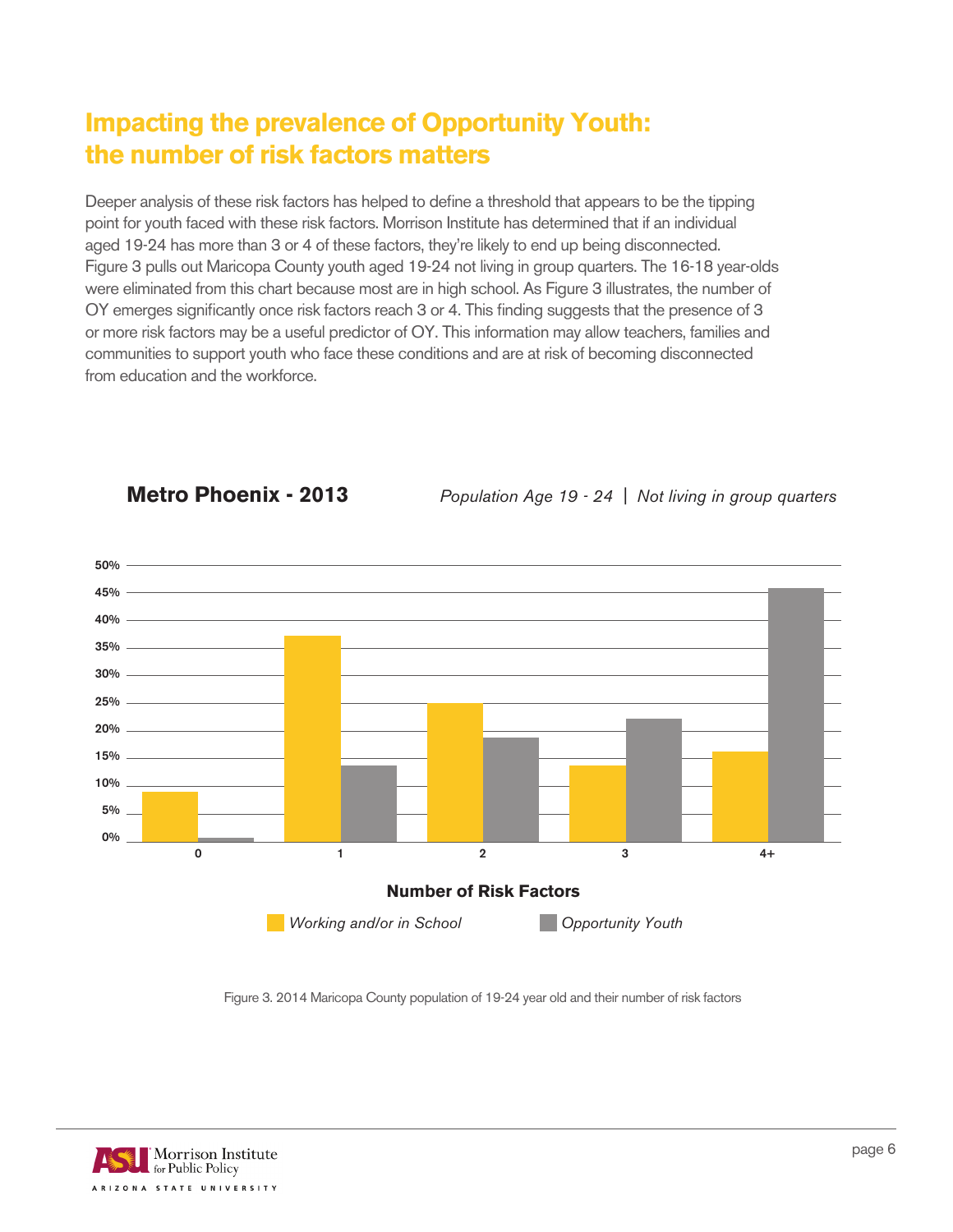#### **Impacting the prevalence of Opportunity Youth: the number of risk factors matters**

Deeper analysis of these risk factors has helped to define a threshold that appears to be the tipping point for youth faced with these risk factors. Morrison Institute has determined that if an individual aged 19-24 has more than 3 or 4 of these factors, they're likely to end up being disconnected. Figure 3 pulls out Maricopa County youth aged 19-24 not living in group quarters. The 16-18 year-olds were eliminated from this chart because most are in high school. As Figure 3 illustrates, the number of OY emerges significantly once risk factors reach 3 or 4. This finding suggests that the presence of 3 or more risk factors may be a useful predictor of OY. This information may allow teachers, families and communities to support youth who face these conditions and are at risk of becoming disconnected from education and the workforce.



**Metro Phoenix - 2013** Population Age 19 - 24 | Not living in group quarters

Figure 3. 2014 Maricopa County population of 19-24 year old and their number of risk factors

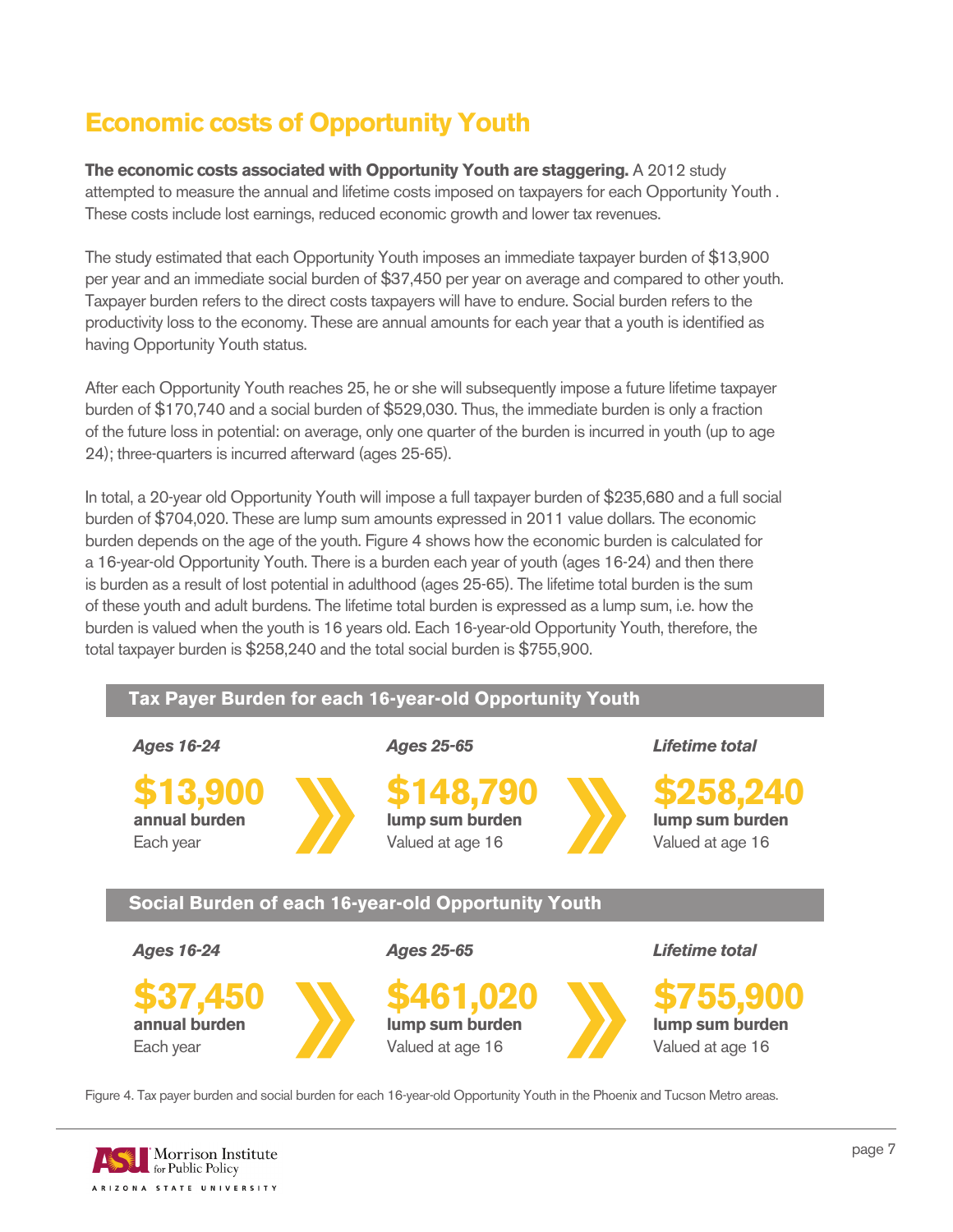#### **Economic costs of Opportunity Youth**

**The economic costs associated with Opportunity Youth are staggering.** A 2012 study attempted to measure the annual and lifetime costs imposed on taxpayers for each Opportunity Youth . These costs include lost earnings, reduced economic growth and lower tax revenues.

The study estimated that each Opportunity Youth imposes an immediate taxpayer burden of \$13,900 per year and an immediate social burden of \$37,450 per year on average and compared to other youth. Taxpayer burden refers to the direct costs taxpayers will have to endure. Social burden refers to the productivity loss to the economy. These are annual amounts for each year that a youth is identified as having Opportunity Youth status.

After each Opportunity Youth reaches 25, he or she will subsequently impose a future lifetime taxpayer burden of \$170,740 and a social burden of \$529,030. Thus, the immediate burden is only a fraction of the future loss in potential: on average, only one quarter of the burden is incurred in youth (up to age 24); three-quarters is incurred afterward (ages 25-65).

In total, a 20-year old Opportunity Youth will impose a full taxpayer burden of \$235,680 and a full social burden of \$704,020. These are lump sum amounts expressed in 2011 value dollars. The economic burden depends on the age of the youth. Figure 4 shows how the economic burden is calculated for a 16-year-old Opportunity Youth. There is a burden each year of youth (ages 16-24) and then there is burden as a result of lost potential in adulthood (ages 25-65). The lifetime total burden is the sum of these youth and adult burdens. The lifetime total burden is expressed as a lump sum, i.e. how the burden is valued when the youth is 16 years old. Each 16-year-old Opportunity Youth, therefore, the total taxpayer burden is \$258,240 and the total social burden is \$755,900.



Figure 4. Tax payer burden and social burden for each 16-year-old Opportunity Youth in the Phoenix and Tucson Metro areas.

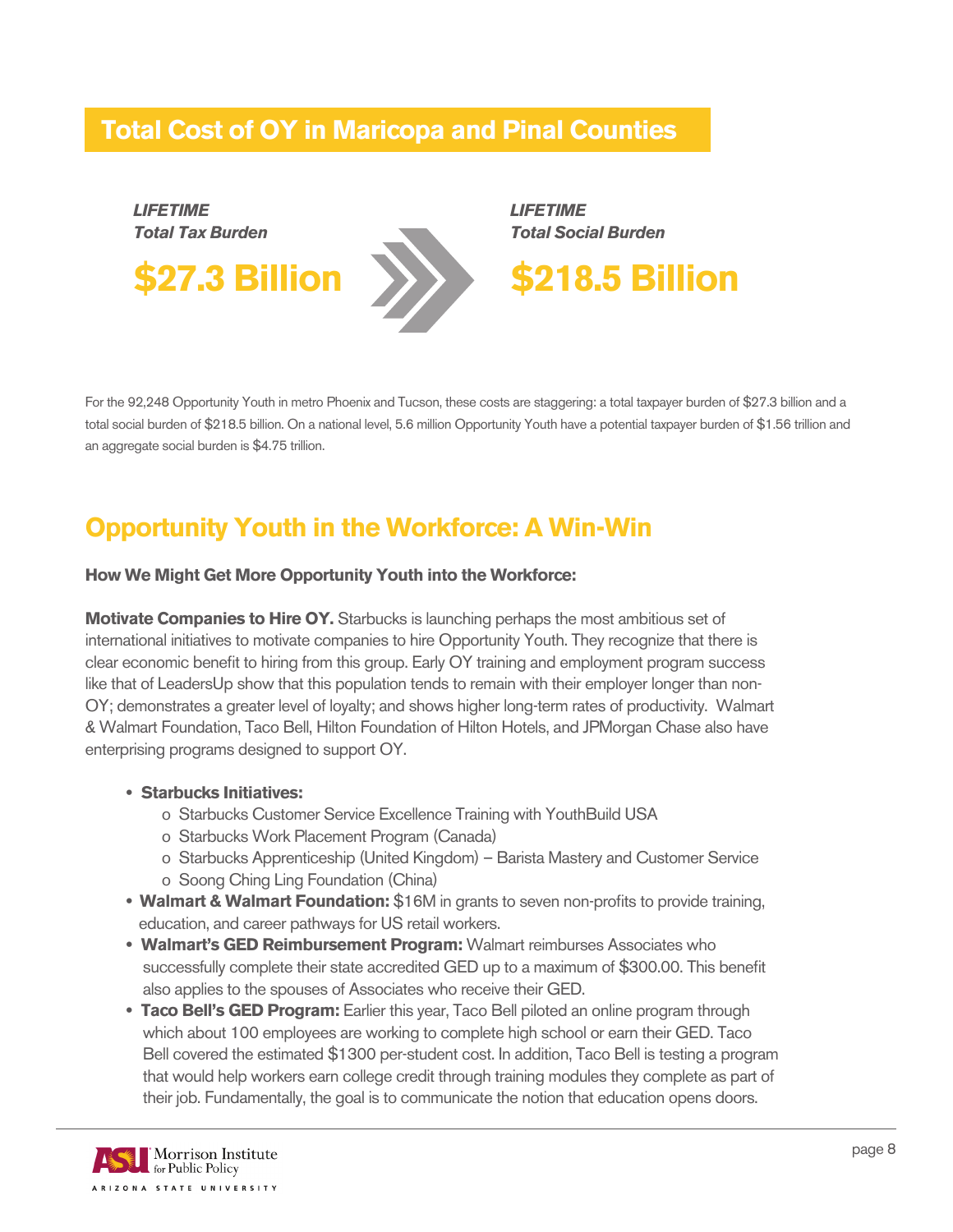#### **Total Cost of OY in Maricopa and Pinal Counties**



For the 92,248 Opportunity Youth in metro Phoenix and Tucson, these costs are staggering: a total taxpayer burden of \$27.3 billion and a total social burden of \$218.5 billion. On a national level, 5.6 million Opportunity Youth have a potential taxpayer burden of \$1.56 trillion and an aggregate social burden is \$4.75 trillion.

#### **Opportunity Youth in the Workforce: A Win-Win**

#### **How We Might Get More Opportunity Youth into the Workforce:**

**Motivate Companies to Hire OY.** Starbucks is launching perhaps the most ambitious set of international initiatives to motivate companies to hire Opportunity Youth. They recognize that there is clear economic benefit to hiring from this group. Early OY training and employment program success like that of LeadersUp show that this population tends to remain with their employer longer than non-OY; demonstrates a greater level of loyalty; and shows higher long-term rates of productivity. Walmart & Walmart Foundation, Taco Bell, Hilton Foundation of Hilton Hotels, and JPMorgan Chase also have enterprising programs designed to support OY.

- **• Starbucks Initiatives:**
	- o Starbucks Customer Service Excellence Training with YouthBuild USA
	- o Starbucks Work Placement Program (Canada)
	- o Starbucks Apprenticeship (United Kingdom) Barista Mastery and Customer Service o Soong Ching Ling Foundation (China)
	-
- **Walmart & Walmart Foundation:** \$16M in grants to seven non-profits to provide training, education, and career pathways for US retail workers.
- **• Walmart's GED Reimbursement Program:** Walmart reimburses Associates who successfully complete their state accredited GED up to a maximum of \$300.00. This benefit also applies to the spouses of Associates who receive their GED.
- **• Taco Bell's GED Program:** Earlier this year, Taco Bell piloted an online program through which about 100 employees are working to complete high school or earn their GED. Taco Bell covered the estimated \$1300 per-student cost. In addition, Taco Bell is testing a program that would help workers earn college credit through training modules they complete as part of their job. Fundamentally, the goal is to communicate the notion that education opens doors.

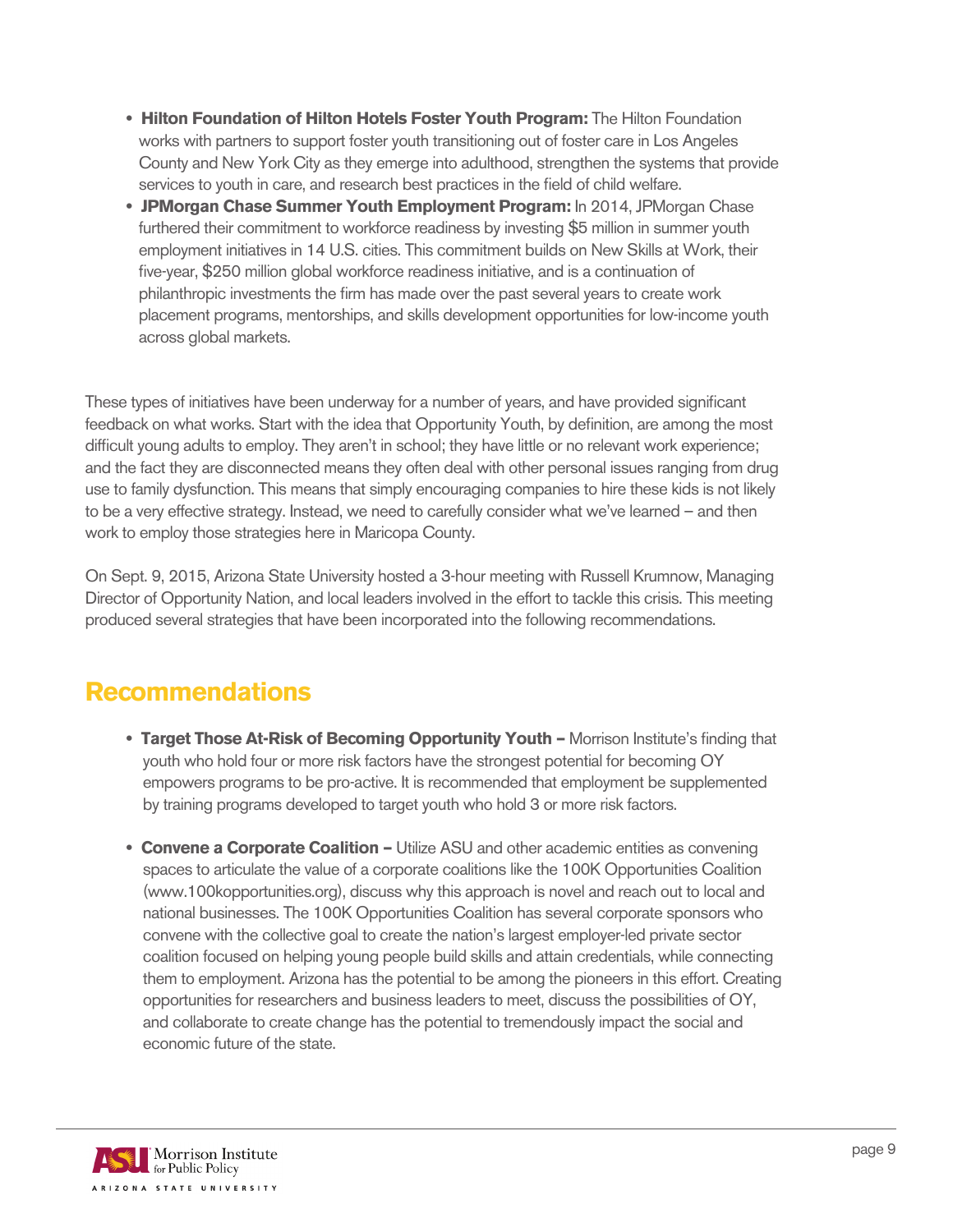- **• Hilton Foundation of Hilton Hotels Foster Youth Program:** The Hilton Foundation works with partners to support foster youth transitioning out of foster care in Los Angeles County and New York City as they emerge into adulthood, strengthen the systems that provide services to youth in care, and research best practices in the field of child welfare.
- **• JPMorgan Chase Summer Youth Employment Program:** In 2014, JPMorgan Chase furthered their commitment to workforce readiness by investing \$5 million in summer youth employment initiatives in 14 U.S. cities. This commitment builds on New Skills at Work, their five-year, \$250 million global workforce readiness initiative, and is a continuation of philanthropic investments the firm has made over the past several years to create work placement programs, mentorships, and skills development opportunities for low-income youth across global markets.

These types of initiatives have been underway for a number of years, and have provided significant feedback on what works. Start with the idea that Opportunity Youth, by definition, are among the most difficult young adults to employ. They aren't in school; they have little or no relevant work experience; and the fact they are disconnected means they often deal with other personal issues ranging from drug use to family dysfunction. This means that simply encouraging companies to hire these kids is not likely to be a very effective strategy. Instead, we need to carefully consider what we've learned – and then work to employ those strategies here in Maricopa County.

On Sept. 9, 2015, Arizona State University hosted a 3-hour meeting with Russell Krumnow, Managing Director of Opportunity Nation, and local leaders involved in the effort to tackle this crisis. This meeting produced several strategies that have been incorporated into the following recommendations.

#### **Recommendations**

- **• Target Those At-Risk of Becoming Opportunity Youth** Morrison Institute's finding that youth who hold four or more risk factors have the strongest potential for becoming OY empowers programs to be pro-active. It is recommended that employment be supplemented by training programs developed to target youth who hold 3 or more risk factors.
- **• Convene a Corporate Coalition –** Utilize ASU and other academic entities as convening spaces to articulate the value of a corporate coalitions like the 100K Opportunities Coalition (www.100kopportunities.org), discuss why this approach is novel and reach out to local and national businesses. The 100K Opportunities Coalition has several corporate sponsors who convene with the collective goal to create the nation's largest employer-led private sector coalition focused on helping young people build skills and attain credentials, while connecting them to employment. Arizona has the potential to be among the pioneers in this effort. Creating opportunities for researchers and business leaders to meet, discuss the possibilities of OY, and collaborate to create change has the potential to tremendously impact the social and economic future of the state.

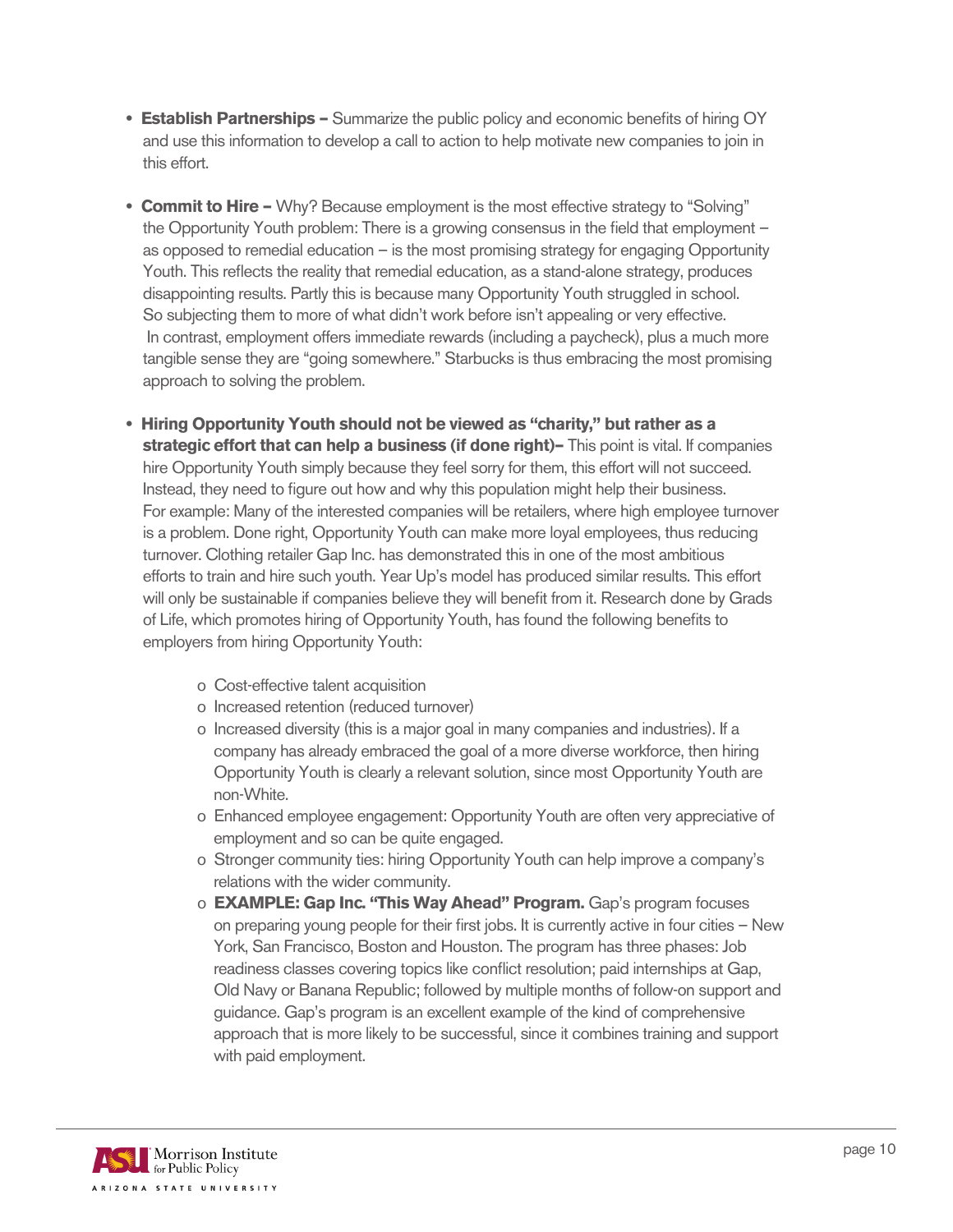- **• Establish Partnerships –** Summarize the public policy and economic benefits of hiring OY and use this information to develop a call to action to help motivate new companies to join in this effort.
- **• Commit to Hire –** Why? Because employment is the most effective strategy to "Solving" the Opportunity Youth problem: There is a growing consensus in the field that employment – as opposed to remedial education – is the most promising strategy for engaging Opportunity Youth. This reflects the reality that remedial education, as a stand-alone strategy, produces disappointing results. Partly this is because many Opportunity Youth struggled in school. So subjecting them to more of what didn't work before isn't appealing or very effective. In contrast, employment offers immediate rewards (including a paycheck), plus a much more tangible sense they are "going somewhere." Starbucks is thus embracing the most promising approach to solving the problem.
- **• Hiring Opportunity Youth should not be viewed as "charity," but rather as a strategic effort that can help a business (if done right)–** This point is vital. If companies hire Opportunity Youth simply because they feel sorry for them, this effort will not succeed. Instead, they need to figure out how and why this population might help their business. For example: Many of the interested companies will be retailers, where high employee turnover is a problem. Done right, Opportunity Youth can make more loyal employees, thus reducing turnover. Clothing retailer Gap Inc. has demonstrated this in one of the most ambitious efforts to train and hire such youth. Year Up's model has produced similar results. This effort will only be sustainable if companies believe they will benefit from it. Research done by Grads of Life, which promotes hiring of Opportunity Youth, has found the following benefits to employers from hiring Opportunity Youth:
	- o Cost-effective talent acquisition
	- o Increased retention (reduced turnover)
	- o Increased diversity (this is a major goal in many companies and industries). If a company has already embraced the goal of a more diverse workforce, then hiring Opportunity Youth is clearly a relevant solution, since most Opportunity Youth are non-White.
	- o Enhanced employee engagement: Opportunity Youth are often very appreciative of employment and so can be quite engaged.
	- o Stronger community ties: hiring Opportunity Youth can help improve a company's relations with the wider community.
	- o **EXAMPLE: Gap Inc. "This Way Ahead" Program.** Gap's program focuses on preparing young people for their first jobs. It is currently active in four cities – New York, San Francisco, Boston and Houston. The program has three phases: Job readiness classes covering topics like conflict resolution; paid internships at Gap, Old Navy or Banana Republic; followed by multiple months of follow-on support and guidance. Gap's program is an excellent example of the kind of comprehensive approach that is more likely to be successful, since it combines training and support with paid employment.

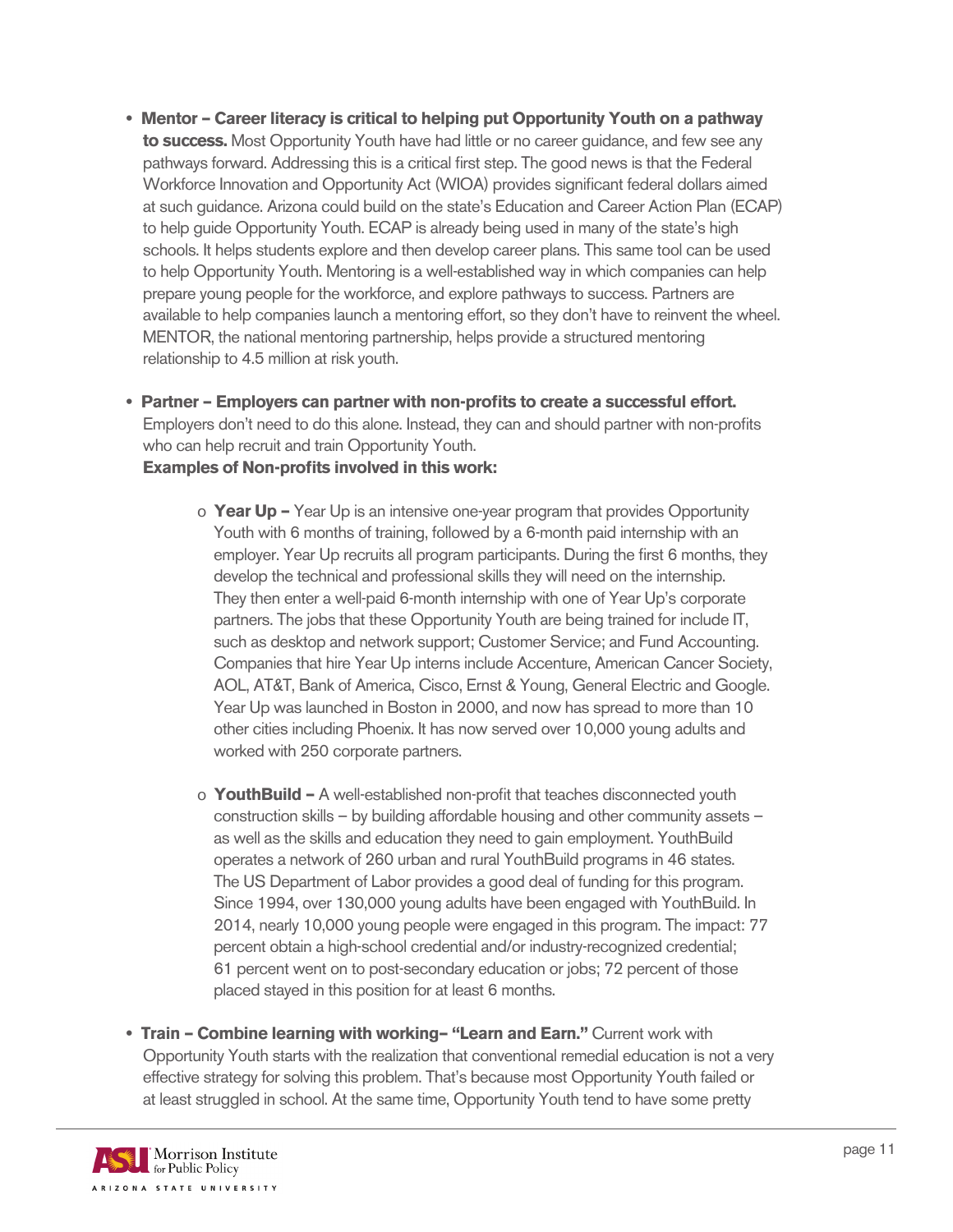- **• Mentor Career literacy is critical to helping put Opportunity Youth on a pathway to success.** Most Opportunity Youth have had little or no career guidance, and few see any pathways forward. Addressing this is a critical first step. The good news is that the Federal Workforce Innovation and Opportunity Act (WIOA) provides significant federal dollars aimed at such guidance. Arizona could build on the state's Education and Career Action Plan (ECAP) to help guide Opportunity Youth. ECAP is already being used in many of the state's high schools. It helps students explore and then develop career plans. This same tool can be used to help Opportunity Youth. Mentoring is a well-established way in which companies can help prepare young people for the workforce, and explore pathways to success. Partners are available to help companies launch a mentoring effort, so they don't have to reinvent the wheel. MENTOR, the national mentoring partnership, helps provide a structured mentoring relationship to 4.5 million at risk youth.
- **• Partner Employers can partner with non-profits to create a successful effort.** Employers don't need to do this alone. Instead, they can and should partner with non-profits who can help recruit and train Opportunity Youth.  **Examples of Non-profits involved in this work:**
	- o **Year Up** Year Up is an intensive one-year program that provides Opportunity Youth with 6 months of training, followed by a 6-month paid internship with an employer. Year Up recruits all program participants. During the first 6 months, they develop the technical and professional skills they will need on the internship. They then enter a well-paid 6-month internship with one of Year Up's corporate partners. The jobs that these Opportunity Youth are being trained for include IT, such as desktop and network support; Customer Service; and Fund Accounting. Companies that hire Year Up interns include Accenture, American Cancer Society, AOL, AT&T, Bank of America, Cisco, Ernst & Young, General Electric and Google. Year Up was launched in Boston in 2000, and now has spread to more than 10 other cities including Phoenix. It has now served over 10,000 young adults and worked with 250 corporate partners.
	- o **YouthBuild –** A well-established non-profit that teaches disconnected youth construction skills – by building affordable housing and other community assets – as well as the skills and education they need to gain employment. YouthBuild operates a network of 260 urban and rural YouthBuild programs in 46 states. The US Department of Labor provides a good deal of funding for this program. Since 1994, over 130,000 young adults have been engaged with YouthBuild. In 2014, nearly 10,000 young people were engaged in this program. The impact: 77 percent obtain a high-school credential and/or industry-recognized credential; 61 percent went on to post-secondary education or jobs; 72 percent of those placed stayed in this position for at least 6 months.
- **• Train Combine learning with working– "Learn and Earn."** Current work with Opportunity Youth starts with the realization that conventional remedial education is not a very effective strategy for solving this problem. That's because most Opportunity Youth failed or at least struggled in school. At the same time, Opportunity Youth tend to have some pretty

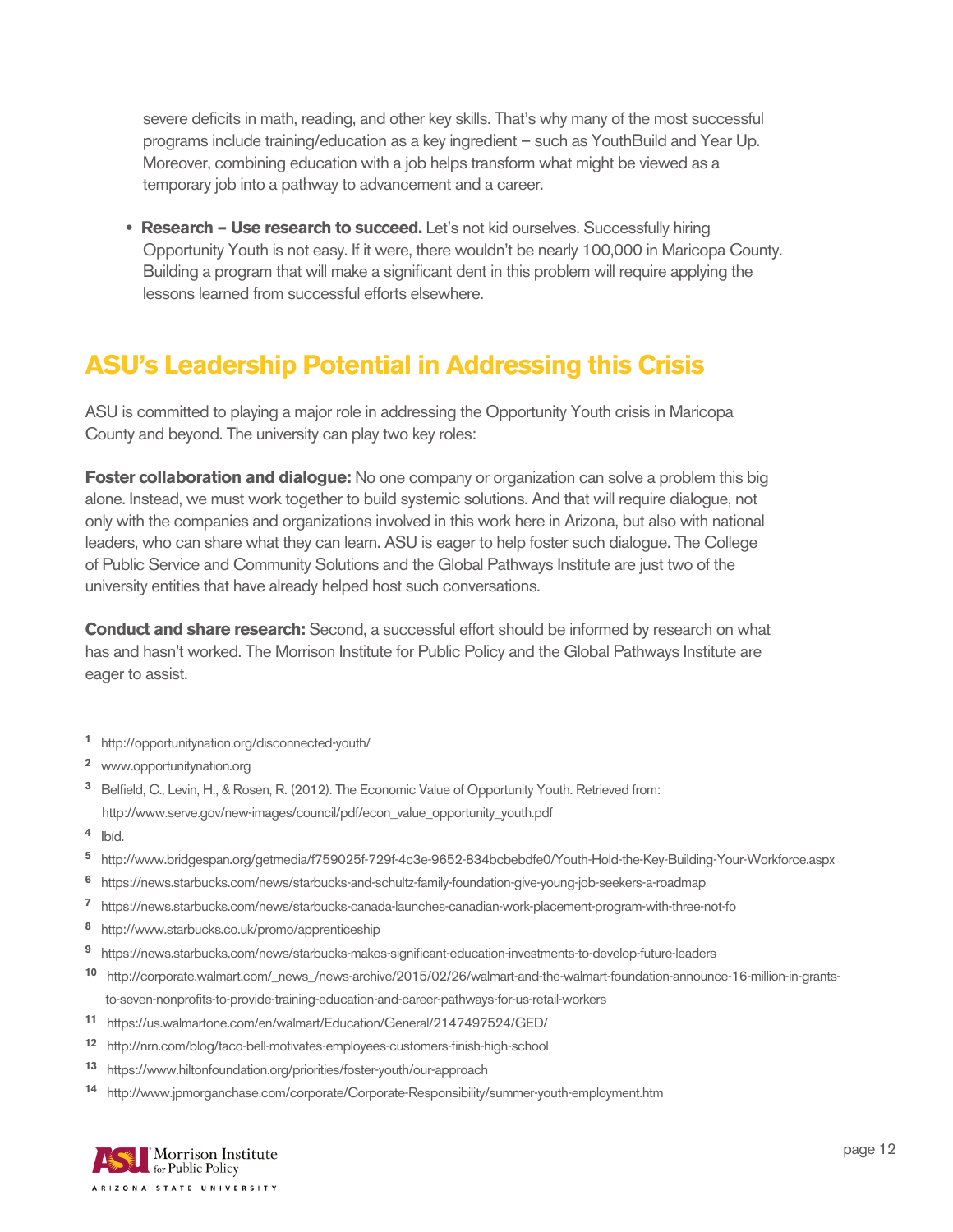severe deficits in math, reading, and other key skills. That's why many of the most successful programs include training/education as a key ingredient – such as YouthBuild and Year Up. Moreover, combining education with a job helps transform what might be viewed as a temporary job into a pathway to advancement and a career.

 **• Research – Use research to succeed.** Let's not kid ourselves. Successfully hiring Opportunity Youth is not easy. If it were, there wouldn't be nearly 100,000 in Maricopa County. Building a program that will make a significant dent in this problem will require applying the lessons learned from successful efforts elsewhere.

#### **ASU's Leadership Potential in Addressing this Crisis**

ASU is committed to playing a major role in addressing the Opportunity Youth crisis in Maricopa County and beyond. The university can play two key roles:

**Foster collaboration and dialogue:** No one company or organization can solve a problem this big alone. Instead, we must work together to build systemic solutions. And that will require dialogue, not only with the companies and organizations involved in this work here in Arizona, but also with national leaders, who can share what they can learn. ASU is eager to help foster such dialogue. The College of Public Service and Community Solutions and the Global Pathways Institute are just two of the university entities that have already helped host such conversations.

**Conduct and share research:** Second, a successful effort should be informed by research on what has and hasn't worked. The Morrison Institute for Public Policy and the Global Pathways Institute are eager to assist.

- **<sup>1</sup>** http://opportunitynation.org/disconnected-youth/
- **<sup>2</sup>** www.opportunitynation.org
- **<sup>3</sup>** Belfield, C., Levin, H., & Rosen, R. (2012). The Economic Value of Opportunity Youth. Retrieved from: http://www.serve.gov/new-images/council/pdf/econ\_value\_opportunity\_youth.pdf
- **<sup>4</sup>** Ibíd.
- **<sup>5</sup>** http://www.bridgespan.org/getmedia/f759025f-729f-4c3e-9652-834bcbebdfe0/Youth-Hold-the-Key-Building-Your-Workforce.aspx
- **<sup>6</sup>** https://news.starbucks.com/news/starbucks-and-schultz-family-foundation-give-young-job-seekers-a-roadmap
- **<sup>7</sup>** https://news.starbucks.com/news/starbucks-canada-launches-canadian-work-placement-program-with-three-not-fo
- **<sup>8</sup>** http://www.starbucks.co.uk/promo/apprenticeship
- **<sup>9</sup>** https://news.starbucks.com/news/starbucks-makes-significant-education-investments-to-develop-future-leaders
- **<sup>10</sup>** http://corporate.walmart.com/\_news\_/news-archive/2015/02/26/walmart-and-the-walmart-foundation-announce-16-million-in-grants to-seven-nonprofits-to-provide-training-education-and-career-pathways-for-us-retail-workers
- **<sup>11</sup>** https://us.walmartone.com/en/walmart/Education/General/2147497524/GED/
- **<sup>12</sup>** http://nrn.com/blog/taco-bell-motivates-employees-customers-finish-high-school
- **<sup>13</sup>** https://www.hiltonfoundation.org/priorities/foster-youth/our-approach
- **<sup>14</sup>** http://www.jpmorganchase.com/corporate/Corporate-Responsibility/summer-youth-employment.htm